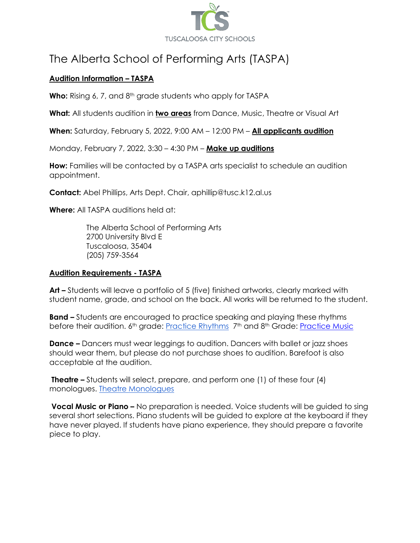

# The Alberta School of Performing Arts (TASPA)

### **Audition Information – TASPA**

Who: Rising 6, 7, and 8<sup>th</sup> grade students who apply for TASPA

**What:** All students audition in **two areas** from Dance, Music, Theatre or Visual Art

**When:** Saturday, February 5, 2022, 9:00 AM – 12:00 PM – **All applicants audition**

Monday, February 7, 2022, 3:30 – 4:30 PM – **Make up auditions**

**How:** Families will be contacted by a TASPA arts specialist to schedule an audition appointment.

**Contact:** Abel Phillips, Arts Dept. Chair, aphillip@tusc.k12.al.us

**Where:** All TASPA auditions held at:

The Alberta School of Performing Arts 2700 University Blvd E Tuscaloosa, 35404 (205) 759-3564

#### **Audition Requirements - TASPA**

**Art –** Students will leave a portfolio of 5 (five) finished artworks, clearly marked with student name, grade, and school on the back. All works will be returned to the student.

**Band –** Students are encouraged to practice speaking and playing these rhythms before their audition. 6<sup>th</sup> grade[:](https://drive.google.com/file/d/1_xX0gFqWEwRBG3j9ncj4o77UNTEuq7Mc/view?usp=sharing) [Practice Rhythms](https://drive.google.com/file/d/1_xX0gFqWEwRBG3j9ncj4o77UNTEuq7Mc/view?usp=sharing) 7<sup>th</sup> and 8<sup>th</sup> Grade: [Practice Music](https://drive.google.com/file/d/1j-Y2VBzyUSRqNSrTqa_1Y6Et3lTxiuSN/view?usp=sharing)

**Dance –** Dancers must wear leggings to audition. Dancers with ballet or jazz shoes should wear them, but please do not purchase shoes to audition. Barefoot is also acceptable at the audition.

**Theatre –** Students will select, prepare, and perform one (1) of these four (4) monologues[.](https://drive.google.com/file/d/16b-xken7DxdFV6FFBCLEeA0O-MlA_uAd/view?usp=sharing) [Theatre Monologues](https://drive.google.com/file/d/16b-xken7DxdFV6FFBCLEeA0O-MlA_uAd/view?usp=sharing)

**Vocal Music or Piano –** No preparation is needed. Voice students will be guided to sing several short selections. Piano students will be guided to explore at the keyboard if they have never played. If students have piano experience, they should prepare a favorite piece to play.